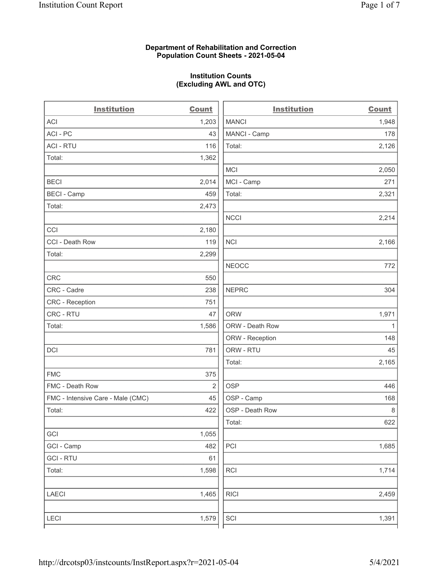### Department of Rehabilitation and Correction Population Count Sheets - 2021-05-04

### Institution Counts (Excluding AWL and OTC)

| <b>Institution</b>                | <b>Count</b>   | <b>Institution</b> | <b>Count</b> |
|-----------------------------------|----------------|--------------------|--------------|
| ACI                               | 1,203          | <b>MANCI</b>       | 1,948        |
| ACI - PC                          | 43             | MANCI - Camp       | 178          |
| <b>ACI - RTU</b>                  | 116            | Total:             | 2,126        |
| Total:                            | 1,362          |                    |              |
|                                   |                | <b>MCI</b>         | 2,050        |
| <b>BECI</b>                       | 2,014          | MCI - Camp         | 271          |
| <b>BECI - Camp</b>                | 459            | Total:             | 2,321        |
| Total:                            | 2,473          |                    |              |
|                                   |                | <b>NCCI</b>        | 2,214        |
| CCI                               | 2,180          |                    |              |
| CCI - Death Row                   | 119            | <b>NCI</b>         | 2,166        |
| Total:                            | 2,299          |                    |              |
|                                   |                | <b>NEOCC</b>       | 772          |
| <b>CRC</b>                        | 550            |                    |              |
| CRC - Cadre                       | 238            | <b>NEPRC</b>       | 304          |
| CRC - Reception                   | 751            |                    |              |
| CRC - RTU                         | 47             | <b>ORW</b>         | 1,971        |
| Total:                            | 1,586          | ORW - Death Row    | $\mathbf{1}$ |
|                                   |                | ORW - Reception    | 148          |
| DCI                               | 781            | ORW - RTU          | 45           |
|                                   |                | Total:             | 2,165        |
| <b>FMC</b>                        | 375            |                    |              |
| FMC - Death Row                   | $\overline{2}$ | <b>OSP</b>         | 446          |
| FMC - Intensive Care - Male (CMC) | 45             | OSP - Camp         | 168          |
| Total:                            | 422            | OSP - Death Row    | $\,8\,$      |
|                                   |                | Total:             | 622          |
| GCI                               | 1,055          |                    |              |
| GCI - Camp                        | 482            | $\mathsf{PCI}$     | 1,685        |
| <b>GCI-RTU</b>                    | 61             |                    |              |
| Total:                            | 1,598          | RCI                | 1,714        |
| <b>LAECI</b>                      | 1,465          | <b>RICI</b>        | 2,459        |
| <b>LECI</b>                       | 1,579          | SCI                | 1,391        |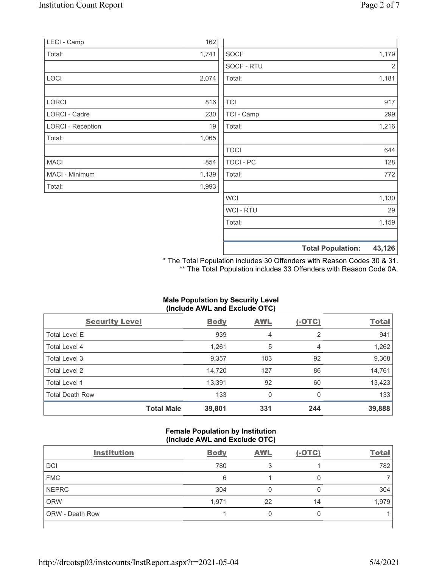|                          |       | <b>Total Population:</b> | 43,126 |
|--------------------------|-------|--------------------------|--------|
|                          |       |                          |        |
|                          |       | Total:                   | 1,159  |
|                          |       | WCI - RTU                | 29     |
|                          |       | <b>WCI</b>               | 1,130  |
| Total:                   | 1,993 |                          |        |
| MACI - Minimum           | 1,139 | Total:                   | 772    |
| <b>MACI</b>              | 854   | TOCI - PC                | 128    |
|                          |       | <b>TOCI</b>              | 644    |
| Total:                   | 1,065 |                          |        |
| <b>LORCI - Reception</b> | 19    | Total:                   | 1,216  |
| <b>LORCI - Cadre</b>     | 230   | TCI - Camp               | 299    |
| LORCI                    | 816   | <b>TCI</b>               | 917    |
|                          |       |                          |        |
| LOCI                     | 2,074 | Total:                   | 1,181  |
|                          |       | SOCF - RTU               | 2      |
| Total:                   | 1,741 | <b>SOCF</b>              | 1,179  |
| LECI - Camp              | 162   |                          |        |

\* The Total Population includes 30 Offenders with Reason Codes 30 & 31. \*\* The Total Population includes 33 Offenders with Reason Code 0A.

# Male Population by Security Level (Include AWL and Exclude OTC)

| <b>Security Level</b>  |                   | <b>Body</b> | AWL | $(-OTC)$ | <b>Total</b> |
|------------------------|-------------------|-------------|-----|----------|--------------|
| <b>Total Level E</b>   |                   | 939         | 4   | 2        | 941          |
| Total Level 4          |                   | 1,261       | 5   | 4        | 1,262        |
| Total Level 3          |                   | 9,357       | 103 | 92       | 9,368        |
| Total Level 2          |                   | 14,720      | 127 | 86       | 14,761       |
| Total Level 1          |                   | 13,391      | 92  | 60       | 13,423       |
| <b>Total Death Row</b> |                   | 133         | 0   | 0        | 133          |
|                        | <b>Total Male</b> | 39,801      | 331 | 244      | 39,888       |

#### Female Population by Institution (Include AWL and Exclude OTC)

| <b>Institution</b> | <b>Body</b> | <b>AWL</b> | $(-OTC)$ | <b>Total</b> |
|--------------------|-------------|------------|----------|--------------|
| <b>DCI</b>         | 780         |            |          | 782          |
| <b>FMC</b>         | 6           |            |          |              |
| <b>NEPRC</b>       | 304         |            |          | 304          |
| <b>ORW</b>         | 1,971       | 22         | 14       | 1,979        |
| ORW - Death Row    |             | 0          |          |              |
|                    |             |            |          |              |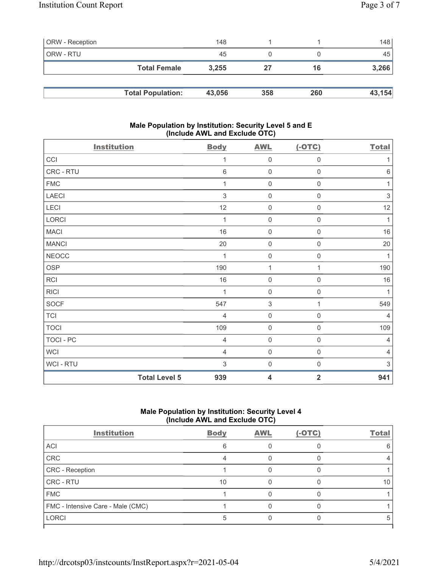| <b>ORW</b> - Reception |                          | 148    |     |     | 148    |
|------------------------|--------------------------|--------|-----|-----|--------|
| ORW - RTU              |                          | 45     |     |     | 45     |
|                        | <b>Total Female</b>      | 3.255  | 27  | 16  | 3,266  |
|                        |                          |        |     |     |        |
|                        | <b>Total Population:</b> | 43,056 | 358 | 260 | 43,154 |

### Male Population by Institution: Security Level 5 and E (Include AWL and Exclude OTC)

| <b>Institution</b>   | <b>Body</b>    | <b>AWL</b>              | $(-OTC)$                | <b>Total</b>   |
|----------------------|----------------|-------------------------|-------------------------|----------------|
| CCI                  | 1              | $\mathbf 0$             | $\mathsf{O}\xspace$     | 1              |
| CRC - RTU            | $6\phantom{1}$ | $\mathbf 0$             | $\boldsymbol{0}$        | $\,6$          |
| <b>FMC</b>           | 1              | $\mathbf 0$             | $\mathsf{O}\xspace$     | 1              |
| <b>LAECI</b>         | $\sqrt{3}$     | $\mathsf{O}\xspace$     | $\,0\,$                 | 3              |
| LECI                 | 12             | $\mathbf 0$             | $\boldsymbol{0}$        | 12             |
| LORCI                | $\mathbf 1$    | $\mathbf 0$             | $\mathsf{O}\xspace$     | 1              |
| <b>MACI</b>          | 16             | $\mathbf 0$             | $\boldsymbol{0}$        | 16             |
| <b>MANCI</b>         | 20             | $\mathbf 0$             | $\mathsf{O}\xspace$     | 20             |
| <b>NEOCC</b>         | 1              | $\mathbf 0$             | $\mathsf{O}\xspace$     | $\mathbf{1}$   |
| OSP                  | 190            | $\mathbf{1}$            | 1                       | 190            |
| RCI                  | $16$           | $\mathsf{O}\xspace$     | 0                       | 16             |
| <b>RICI</b>          | 1              | $\mathbf 0$             | $\mathbf 0$             | 1              |
| <b>SOCF</b>          | 547            | $\sqrt{3}$              | 1                       | 549            |
| <b>TCI</b>           | $\overline{4}$ | $\mathsf{O}\xspace$     | $\mathsf{O}\xspace$     | $\overline{4}$ |
| <b>TOCI</b>          | 109            | $\mathbf 0$             | $\mathsf{O}\xspace$     | 109            |
| TOCI - PC            | $\overline{4}$ | $\mathbf 0$             | $\mathsf{O}\xspace$     | $\overline{4}$ |
| <b>WCI</b>           | $\overline{4}$ | $\mathbf 0$             | $\mathsf{O}\xspace$     | $\overline{4}$ |
| WCI - RTU            | 3              | $\mathsf{O}\xspace$     | $\boldsymbol{0}$        | 3              |
| <b>Total Level 5</b> | 939            | $\overline{\mathbf{4}}$ | $\overline{\mathbf{2}}$ | 941            |

## Male Population by Institution: Security Level 4 (Include AWL and Exclude OTC)

| <b>Institution</b>                | <b>Body</b> | <b>AWL</b> | $(-OTC)$ | <b>Total</b> |
|-----------------------------------|-------------|------------|----------|--------------|
| ACI                               |             |            |          |              |
| CRC                               |             |            |          |              |
| CRC - Reception                   |             |            |          |              |
| CRC - RTU                         | 10          |            |          | 10           |
| <b>FMC</b>                        |             |            |          |              |
| FMC - Intensive Care - Male (CMC) |             |            |          |              |
| <b>LORCI</b>                      |             |            |          |              |
|                                   |             |            |          |              |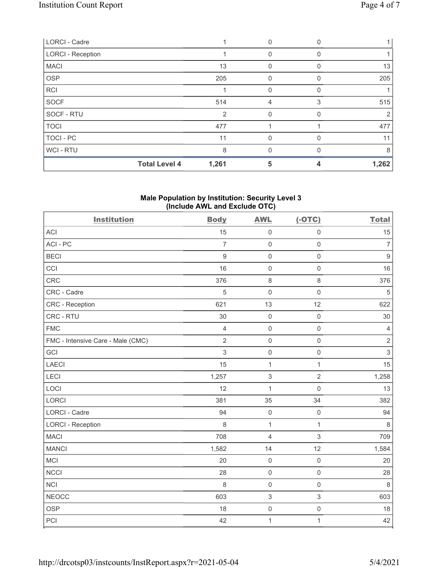| LORCI - Cadre            |                      |               |   |   |               |
|--------------------------|----------------------|---------------|---|---|---------------|
| <b>LORCI - Reception</b> |                      |               | 0 |   |               |
| <b>MACI</b>              |                      | 13            | 0 |   | 13            |
| <b>OSP</b>               |                      | 205           |   |   | 205           |
| <b>RCI</b>               |                      |               | 0 | 0 |               |
| SOCF                     |                      | 514           | 4 | 3 | 515           |
| SOCF - RTU               |                      | $\mathcal{P}$ | 0 |   | $\mathcal{P}$ |
| <b>TOCI</b>              |                      | 477           |   |   | 477           |
| TOCI - PC                |                      | 11            | 0 |   | 11            |
| WCI - RTU                |                      | 8             | 0 |   | 8             |
|                          | <b>Total Level 4</b> | 1,261         | 5 |   | 1,262         |

## Male Population by Institution: Security Level 3 (Include AWL and Exclude OTC)

| <b>Institution</b>                | <b>Body</b>      | <b>AWL</b>                | $(-OTC)$            | <b>Total</b>     |
|-----------------------------------|------------------|---------------------------|---------------------|------------------|
| <b>ACI</b>                        | 15               | $\mathbf 0$               | $\mathsf{O}\xspace$ | 15               |
| ACI-PC                            | $\overline{7}$   | $\mathbf 0$               | $\mathsf{O}\xspace$ | $\overline{7}$   |
| <b>BECI</b>                       | $\boldsymbol{9}$ | $\mathbf 0$               | $\mathsf{O}\xspace$ | $\boldsymbol{9}$ |
| CCI                               | 16               | $\mathsf{O}\xspace$       | $\mathsf{O}\xspace$ | 16               |
| CRC                               | 376              | $\,8\,$                   | $\,8\,$             | 376              |
| CRC - Cadre                       | 5                | $\mathsf{O}\xspace$       | $\mathsf{O}\xspace$ | $\,$ 5 $\,$      |
| CRC - Reception                   | 621              | 13                        | 12                  | 622              |
| CRC - RTU                         | 30               | $\mathsf{O}\xspace$       | $\mathsf{O}\xspace$ | 30               |
| <b>FMC</b>                        | $\overline{4}$   | $\mathsf{O}\xspace$       | $\mathsf{O}\xspace$ | $\overline{4}$   |
| FMC - Intensive Care - Male (CMC) | $\overline{2}$   | $\mathsf{O}\xspace$       | $\mathsf 0$         | $\sqrt{2}$       |
| GCI                               | 3                | $\mathsf{O}\xspace$       | $\mathsf 0$         | $\sqrt{3}$       |
| <b>LAECI</b>                      | 15               | $\mathbf{1}$              | $\mathbf 1$         | 15               |
| LECI                              | 1,257            | $\ensuremath{\mathsf{3}}$ | $\sqrt{2}$          | 1,258            |
| LOCI                              | 12               | $\mathbf{1}$              | $\mathbf 0$         | 13               |
| LORCI                             | 381              | 35                        | 34                  | 382              |
| <b>LORCI - Cadre</b>              | 94               | $\mathsf{O}\xspace$       | $\mathsf 0$         | 94               |
| <b>LORCI - Reception</b>          | 8                | $\mathbf{1}$              | $\mathbf{1}$        | $\,8\,$          |
| <b>MACI</b>                       | 708              | $\overline{4}$            | $\mathfrak{S}$      | 709              |
| <b>MANCI</b>                      | 1,582            | 14                        | 12                  | 1,584            |
| MCI                               | 20               | $\mathsf{O}\xspace$       | $\mathsf 0$         | 20               |
| <b>NCCI</b>                       | 28               | $\mathbf 0$               | $\mathsf{O}\xspace$ | 28               |
| NCI                               | 8                | $\mathbf 0$               | $\mathsf{O}\xspace$ | $\,8\,$          |
| <b>NEOCC</b>                      | 603              | $\sqrt{3}$                | $\mathfrak{S}$      | 603              |
| <b>OSP</b>                        | 18               | $\mathsf{O}\xspace$       | $\mathsf 0$         | 18               |
| PCI                               | 42               | $\mathbf{1}$              | $\mathbf 1$         | 42               |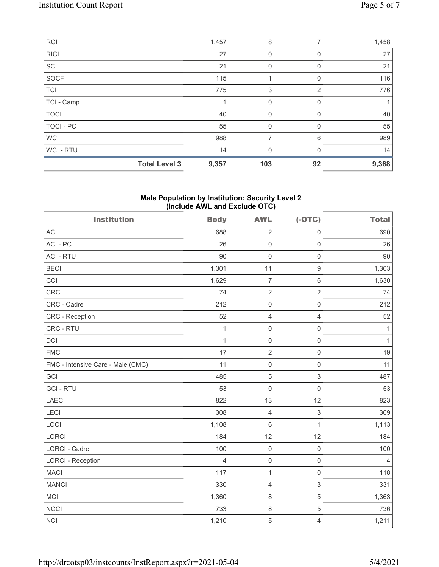|             | <b>Total Level 3</b> | 9,357 | 103         | 92             | 9,368 |
|-------------|----------------------|-------|-------------|----------------|-------|
| WCI - RTU   |                      | 14    | 0           |                | 14    |
| <b>WCI</b>  |                      | 988   | 7           | 6              | 989   |
| TOCI - PC   |                      | 55    | 0           |                | 55    |
| <b>TOCI</b> |                      | 40    | 0           | $\Omega$       | 40    |
| TCI - Camp  |                      |       | $\mathbf 0$ | 0              |       |
| <b>TCI</b>  |                      | 775   | 3           | $\overline{2}$ | 776   |
| SOCF        |                      | 115   |             | $\Omega$       | 116   |
| SCI         |                      | 21    | 0           |                | 21    |
| <b>RICI</b> |                      | 27    | 0           | 0              | 27    |
| <b>RCI</b>  |                      | 1,457 | 8           |                | 1,458 |

### Male Population by Institution: Security Level 2 (Include AWL and Exclude OTC)

| <b>Institution</b>                | <b>Body</b>    | <b>AWL</b>          | $(-OTC)$            | <b>Total</b>   |
|-----------------------------------|----------------|---------------------|---------------------|----------------|
| <b>ACI</b>                        | 688            | $\overline{2}$      | $\mathsf{O}\xspace$ | 690            |
| ACI-PC                            | 26             | $\mathbf 0$         | $\mathbf 0$         | 26             |
| <b>ACI - RTU</b>                  | 90             | $\mathbf 0$         | $\mathsf{O}\xspace$ | 90             |
| <b>BECI</b>                       | 1,301          | 11                  | $\boldsymbol{9}$    | 1,303          |
| CCI                               | 1,629          | $\overline{7}$      | $\,6\,$             | 1,630          |
| <b>CRC</b>                        | 74             | $\sqrt{2}$          | $\sqrt{2}$          | 74             |
| CRC - Cadre                       | 212            | $\mathbf 0$         | $\mathsf{O}\xspace$ | 212            |
| <b>CRC</b> - Reception            | 52             | $\overline{4}$      | $\overline{4}$      | 52             |
| CRC - RTU                         | $\mathbf{1}$   | $\mathbf 0$         | $\mathsf 0$         | $\mathbf{1}$   |
| <b>DCI</b>                        | $\mathbf{1}$   | $\mathsf{O}\xspace$ | $\mathsf{O}\xspace$ | $\mathbf{1}$   |
| <b>FMC</b>                        | 17             | $\sqrt{2}$          | $\mathsf 0$         | 19             |
| FMC - Intensive Care - Male (CMC) | 11             | $\mathbf 0$         | $\mathsf{O}\xspace$ | 11             |
| GCI                               | 485            | $\sqrt{5}$          | $\sqrt{3}$          | 487            |
| <b>GCI-RTU</b>                    | 53             | $\mathbf 0$         | $\mathsf 0$         | 53             |
| <b>LAECI</b>                      | 822            | 13                  | 12                  | 823            |
| LECI                              | 308            | $\overline{4}$      | $\sqrt{3}$          | 309            |
| LOCI                              | 1,108          | $6\phantom{1}$      | $\mathbf 1$         | 1,113          |
| LORCI                             | 184            | 12                  | 12                  | 184            |
| <b>LORCI - Cadre</b>              | 100            | $\mathsf{O}$        | $\mathsf{O}\xspace$ | 100            |
| <b>LORCI - Reception</b>          | $\overline{4}$ | $\mathsf{O}\xspace$ | $\mathsf{O}\xspace$ | $\overline{4}$ |
| <b>MACI</b>                       | 117            | $\mathbf{1}$        | $\mathsf{O}\xspace$ | 118            |
| <b>MANCI</b>                      | 330            | $\overline{4}$      | $\sqrt{3}$          | 331            |
| MCI                               | 1,360          | $\,8\,$             | 5                   | 1,363          |
| <b>NCCI</b>                       | 733            | $\,8\,$             | $\mathbf 5$         | 736            |
| <b>NCI</b>                        | 1,210          | 5                   | $\overline{4}$      | 1,211          |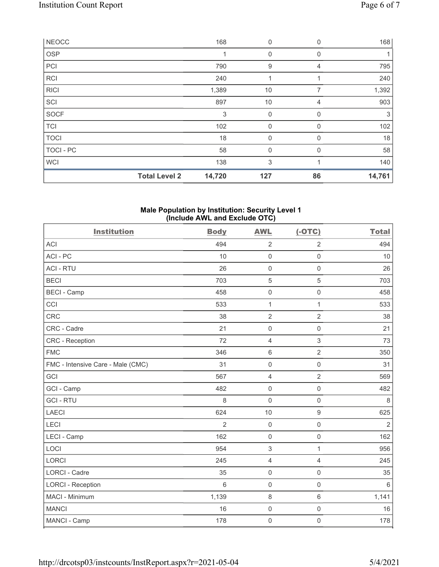|              | <b>Total Level 2</b> | 14,720 | 127         | 86          | 14,761 |
|--------------|----------------------|--------|-------------|-------------|--------|
| <b>WCI</b>   |                      | 138    | 3           |             | 140    |
| TOCI - PC    |                      | 58     | $\mathbf 0$ | 0           | 58     |
| <b>TOCI</b>  |                      | 18     | $\mathbf 0$ | 0           | 18     |
| <b>TCI</b>   |                      | 102    | 0           | $\Omega$    | 102    |
| <b>SOCF</b>  |                      | 3      | 0           | 0           | 3      |
| SCI          |                      | 897    | 10          | 4           | 903    |
| <b>RICI</b>  |                      | 1,389  | 10          | 7           | 1,392  |
| <b>RCI</b>   |                      | 240    | 1           |             | 240    |
| PCI          |                      | 790    | 9           | 4           | 795    |
| <b>OSP</b>   |                      |        | 0           | 0           |        |
| <b>NEOCC</b> |                      | 168    | $\mathbf 0$ | $\mathbf 0$ | 168    |

#### Male Population by Institution: Security Level 1 (Include AWL and Exclude OTC)

| <b>Institution</b>                | <b>Body</b>    | <b>AWL</b>          | $(-OTC)$            | <b>Total</b> |
|-----------------------------------|----------------|---------------------|---------------------|--------------|
| <b>ACI</b>                        | 494            | $\sqrt{2}$          | $\overline{2}$      | 494          |
| ACI-PC                            | 10             | $\mathsf{O}\xspace$ | $\mathsf{O}\xspace$ | 10           |
| <b>ACI - RTU</b>                  | 26             | $\mathsf{O}\xspace$ | $\mathbf 0$         | 26           |
| <b>BECI</b>                       | 703            | $\mathbf 5$         | $\mathbf 5$         | 703          |
| <b>BECI - Camp</b>                | 458            | $\mathsf{O}\xspace$ | $\mathsf{O}\xspace$ | 458          |
| CCI                               | 533            | $\mathbf{1}$        | $\mathbf{1}$        | 533          |
| <b>CRC</b>                        | 38             | $\overline{2}$      | $\overline{2}$      | 38           |
| CRC - Cadre                       | 21             | $\mathbf 0$         | $\mathsf{O}\xspace$ | 21           |
| <b>CRC</b> - Reception            | 72             | $\overline{4}$      | 3                   | 73           |
| <b>FMC</b>                        | 346            | $\,6\,$             | $\overline{2}$      | 350          |
| FMC - Intensive Care - Male (CMC) | 31             | $\mathbf 0$         | $\mathsf{O}\xspace$ | 31           |
| GCI                               | 567            | $\overline{4}$      | $\overline{2}$      | 569          |
| GCI - Camp                        | 482            | $\mathbf 0$         | $\mathsf{O}\xspace$ | 482          |
| <b>GCI-RTU</b>                    | 8              | $\mathbf 0$         | $\mathbf 0$         | 8            |
| <b>LAECI</b>                      | 624            | 10                  | $\boldsymbol{9}$    | 625          |
| LECI                              | $\overline{2}$ | $\mathbf 0$         | $\mathsf{O}\xspace$ | $\sqrt{2}$   |
| LECI - Camp                       | 162            | $\mathbf 0$         | $\mathsf{O}\xspace$ | 162          |
| LOCI                              | 954            | $\sqrt{3}$          | $\mathbf{1}$        | 956          |
| <b>LORCI</b>                      | 245            | $\overline{4}$      | $\overline{4}$      | 245          |
| LORCI - Cadre                     | 35             | $\mathbf 0$         | $\mathsf{O}\xspace$ | 35           |
| <b>LORCI - Reception</b>          | 6              | $\mathbf 0$         | $\mathbf 0$         | 6            |
| MACI - Minimum                    | 1,139          | $\,8\,$             | $\,6\,$             | 1,141        |
| <b>MANCI</b>                      | 16             | $\boldsymbol{0}$    | $\mathsf{O}\xspace$ | 16           |
| MANCI - Camp                      | 178            | $\mathbf 0$         | $\mathsf{O}\xspace$ | 178          |